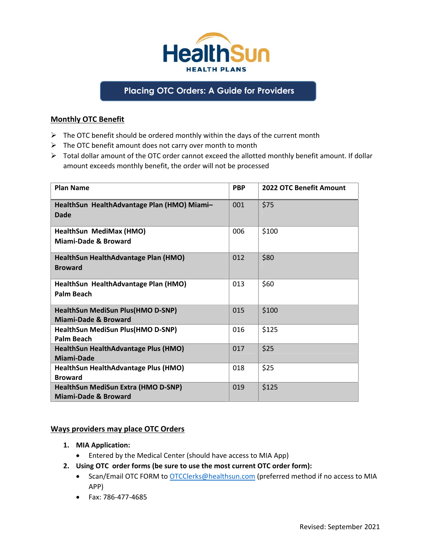

# **Placing OTC Orders: A Guide for Providers**

### **Monthly OTC Benefit**

- $\triangleright$  The OTC benefit should be ordered monthly within the days of the current month
- $\triangleright$  The OTC benefit amount does not carry over month to month
- ➢ Total dollar amount of the OTC order cannot exceed the allotted monthly benefit amount. If dollar amount exceeds monthly benefit, the order will not be processed

| <b>Plan Name</b>                                                       | <b>PBP</b> | <b>2022 OTC Benefit Amount</b> |
|------------------------------------------------------------------------|------------|--------------------------------|
| HealthSun HealthAdvantage Plan (HMO) Miami-<br><b>Dade</b>             | 001        | \$75                           |
| HealthSun MediMax (HMO)<br>Miami-Dade & Broward                        | 006        | \$100                          |
| HealthSun HealthAdvantage Plan (HMO)<br><b>Broward</b>                 | 012        | \$80                           |
| HealthSun HealthAdvantage Plan (HMO)<br>Palm Beach                     | 013        | \$60                           |
| HealthSun MediSun Plus(HMO D-SNP)<br><b>Miami-Dade &amp; Broward</b>   | 015        | \$100                          |
| <b>HealthSun MediSun Plus (HMO D-SNP)</b><br><b>Palm Beach</b>         | 016        | \$125                          |
| HealthSun HealthAdvantage Plus (HMO)<br>Miami-Dade                     | 017        | \$25                           |
| HealthSun HealthAdvantage Plus (HMO)<br><b>Broward</b>                 | 018        | \$25                           |
| HealthSun MediSun Extra (HMO D-SNP)<br><b>Miami-Dade &amp; Broward</b> | 019        | \$125                          |

#### **Ways providers may place OTC Orders**

- **1. MIA Application:** 
	- Entered by the Medical Center (should have access to MIA App)
- **2. Using OTC order forms (be sure to use the most current OTC order form):** 
	- Scan/Email OTC FORM to [OTCClerks@healthsun.com](mailto:OTCClerks@healthsun.com) (preferred method if no access to MIA APP)
	- Fax: 786‐477‐4685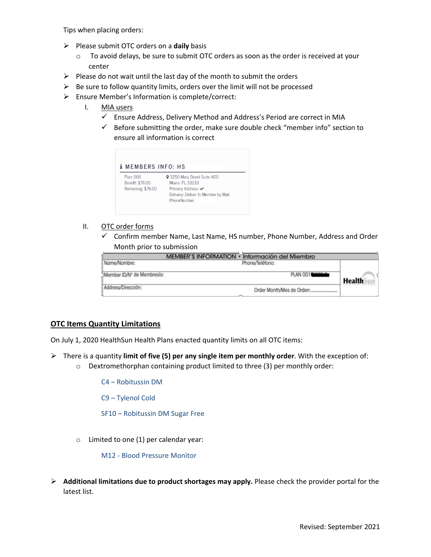Tips when placing orders:

- ➢ Please submit OTC orders on a **daily** basis
	- To avoid delays, be sure to submit OTC orders as soon as the order is received at your center
- $\triangleright$  Please do not wait until the last day of the month to submit the orders
- $\triangleright$  Be sure to follow quantity limits, orders over the limit will not be processed
- ➢ Ensure Member's Information is complete/correct:
	- I. MIA users
		- ✓ Ensure Address, Delivery Method and Address's Period are correct in MIA
		- $\checkmark$  Before submitting the order, make sure double check "member info" section to ensure all information is correct



#### II. OTC order forms

✓ Confirm member Name, Last Name, HS number, Phone Number, Address and Order Month prior to submission

| MEMBER'S INFORMATION · Información del Miembro |                           |               |
|------------------------------------------------|---------------------------|---------------|
| Name/Nombre:                                   | Phone/Teléfono:           |               |
| Member ID/N° de Membresia:                     | PLAN 00110000-0           | <b>Health</b> |
| Address/Dirección:                             | Order Month/Mes de Orden: |               |

#### **OTC Items Quantity Limitations**

On July 1, 2020 HealthSun Health Plans enacted quantity limits on all OTC items:

- ➢ There is a quantity **limit of five (5) per any single item per monthly order**. With the exception of:
	- Dextromethorphan containing product limited to three (3) per monthly order:

C4 – Robitussin DM

C9 – Tylenol Cold

SF10 – Robitussin DM Sugar Free

 $\circ$  Limited to one (1) per calendar year:

M12 ‐ Blood Pressure Monitor

➢ **Additional limitations due to product shortages may apply.** Please check the provider portal for the latest list.